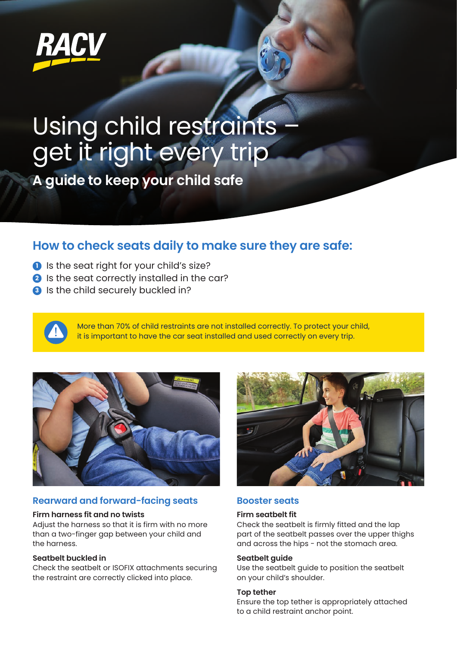

## Using child restraints – get it right every trip

**A guide to keep your child safe**

### **How to check seats daily to make sure they are safe:**

- **1** Is the seat right for your child's size?
- **2** Is the seat correctly installed in the car?
- **3** Is the child securely buckled in?

More than 70% of child restraints are not installed correctly. To protect your child, it is important to have the car seat installed and used correctly on every trip.



#### **Rearward and forward-facing seats Booster seats**

#### **Firm harness fit and no twists**

Adjust the harness so that it is firm with no more than a two-finger gap between your child and the harness.

#### **Seatbelt buckled in**

Check the seatbelt or ISOFIX attachments securing the restraint are correctly clicked into place.



#### **Firm seatbelt fit**

Check the seatbelt is firmly fitted and the lap part of the seatbelt passes over the upper thighs and across the hips - not the stomach area.

#### **Seatbelt guide**

Use the seatbelt guide to position the seatbelt on your child's shoulder.

#### **Top tether**

Ensure the top tether is appropriately attached to a child restraint anchor point.